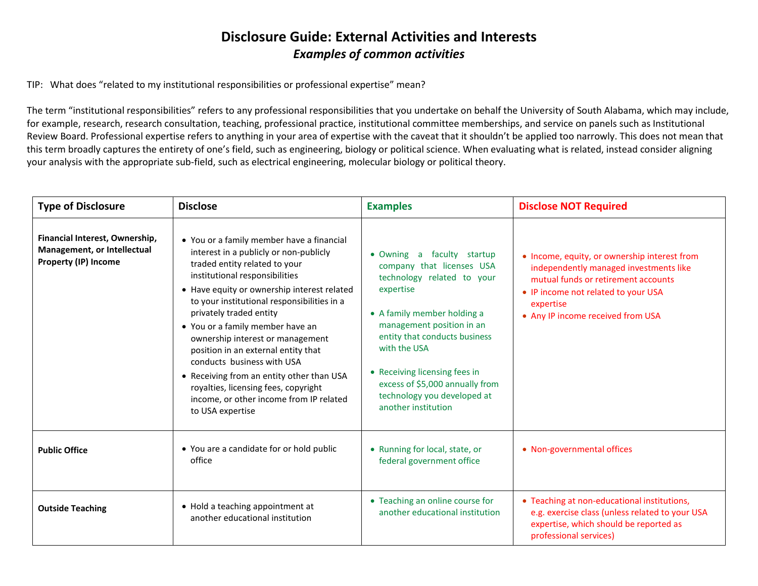## **Disclosure Guide: External Activities and Interests** *Examples of common activities*

TIP: What does "related to my institutional responsibilities or professional expertise" mean?

The term "institutional responsibilities" refers to any professional responsibilities that you undertake on behalf the University of South Alabama, which may include, for example, research, research consultation, teaching, professional practice, institutional committee memberships, and service on panels such as Institutional Review Board. Professional expertise refers to anything in your area of expertise with the caveat that it shouldn't be applied too narrowly. This does not mean that this term broadly captures the entirety of one's field, such as engineering, biology or political science. When evaluating what is related, instead consider aligning your analysis with the appropriate sub-field, such as electrical engineering, molecular biology or political theory.

| <b>Type of Disclosure</b>                                                             | <b>Disclose</b>                                                                                                                                                                                                                                                                                                                                                                                                                                                                                                                                                                  | <b>Examples</b>                                                                                                                                                                                                                                                                                                                              | <b>Disclose NOT Required</b>                                                                                                                                                                                           |
|---------------------------------------------------------------------------------------|----------------------------------------------------------------------------------------------------------------------------------------------------------------------------------------------------------------------------------------------------------------------------------------------------------------------------------------------------------------------------------------------------------------------------------------------------------------------------------------------------------------------------------------------------------------------------------|----------------------------------------------------------------------------------------------------------------------------------------------------------------------------------------------------------------------------------------------------------------------------------------------------------------------------------------------|------------------------------------------------------------------------------------------------------------------------------------------------------------------------------------------------------------------------|
| Financial Interest, Ownership,<br>Management, or Intellectual<br>Property (IP) Income | • You or a family member have a financial<br>interest in a publicly or non-publicly<br>traded entity related to your<br>institutional responsibilities<br>• Have equity or ownership interest related<br>to your institutional responsibilities in a<br>privately traded entity<br>• You or a family member have an<br>ownership interest or management<br>position in an external entity that<br>conducts business with USA<br>• Receiving from an entity other than USA<br>royalties, licensing fees, copyright<br>income, or other income from IP related<br>to USA expertise | • Owning a<br>faculty startup<br>company that licenses USA<br>technology related to your<br>expertise<br>• A family member holding a<br>management position in an<br>entity that conducts business<br>with the USA<br>• Receiving licensing fees in<br>excess of \$5,000 annually from<br>technology you developed at<br>another institution | • Income, equity, or ownership interest from<br>independently managed investments like<br>mutual funds or retirement accounts<br>• IP income not related to your USA<br>expertise<br>• Any IP income received from USA |
| <b>Public Office</b>                                                                  | • You are a candidate for or hold public<br>office                                                                                                                                                                                                                                                                                                                                                                                                                                                                                                                               | • Running for local, state, or<br>federal government office                                                                                                                                                                                                                                                                                  | • Non-governmental offices                                                                                                                                                                                             |
| <b>Outside Teaching</b>                                                               | • Hold a teaching appointment at<br>another educational institution                                                                                                                                                                                                                                                                                                                                                                                                                                                                                                              | • Teaching an online course for<br>another educational institution                                                                                                                                                                                                                                                                           | • Teaching at non-educational institutions,<br>e.g. exercise class (unless related to your USA<br>expertise, which should be reported as<br>professional services)                                                     |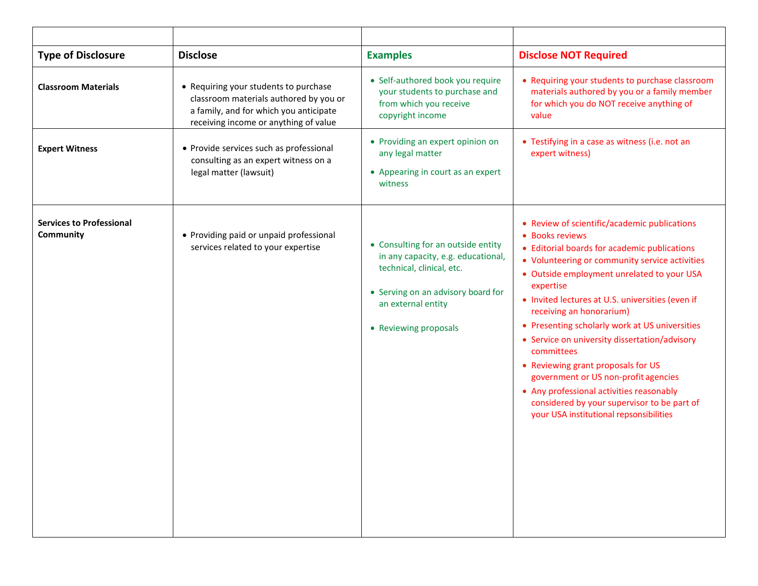| <b>Type of Disclosure</b>                    | <b>Disclose</b>                                                                                                                                                    | <b>Examples</b>                                                                                                                                                                            | <b>Disclose NOT Required</b>                                                                                                                                                                                                                                                                                                                                                                                                                                                                                                                                                                                                                      |
|----------------------------------------------|--------------------------------------------------------------------------------------------------------------------------------------------------------------------|--------------------------------------------------------------------------------------------------------------------------------------------------------------------------------------------|---------------------------------------------------------------------------------------------------------------------------------------------------------------------------------------------------------------------------------------------------------------------------------------------------------------------------------------------------------------------------------------------------------------------------------------------------------------------------------------------------------------------------------------------------------------------------------------------------------------------------------------------------|
| <b>Classroom Materials</b>                   | • Requiring your students to purchase<br>classroom materials authored by you or<br>a family, and for which you anticipate<br>receiving income or anything of value | • Self-authored book you require<br>your students to purchase and<br>from which you receive<br>copyright income                                                                            | • Requiring your students to purchase classroom<br>materials authored by you or a family member<br>for which you do NOT receive anything of<br>value                                                                                                                                                                                                                                                                                                                                                                                                                                                                                              |
| <b>Expert Witness</b>                        | • Provide services such as professional<br>consulting as an expert witness on a<br>legal matter (lawsuit)                                                          | • Providing an expert opinion on<br>any legal matter<br>• Appearing in court as an expert<br>witness                                                                                       | • Testifying in a case as witness (i.e. not an<br>expert witness)                                                                                                                                                                                                                                                                                                                                                                                                                                                                                                                                                                                 |
| <b>Services to Professional</b><br>Community | • Providing paid or unpaid professional<br>services related to your expertise                                                                                      | • Consulting for an outside entity<br>in any capacity, e.g. educational,<br>technical, clinical, etc.<br>• Serving on an advisory board for<br>an external entity<br>• Reviewing proposals | • Review of scientific/academic publications<br>• Books reviews<br>• Editorial boards for academic publications<br>• Volunteering or community service activities<br>• Outside employment unrelated to your USA<br>expertise<br>• Invited lectures at U.S. universities (even if<br>receiving an honorarium)<br>• Presenting scholarly work at US universities<br>• Service on university dissertation/advisory<br>committees<br>• Reviewing grant proposals for US<br>government or US non-profit agencies<br>• Any professional activities reasonably<br>considered by your supervisor to be part of<br>your USA institutional repsonsibilities |